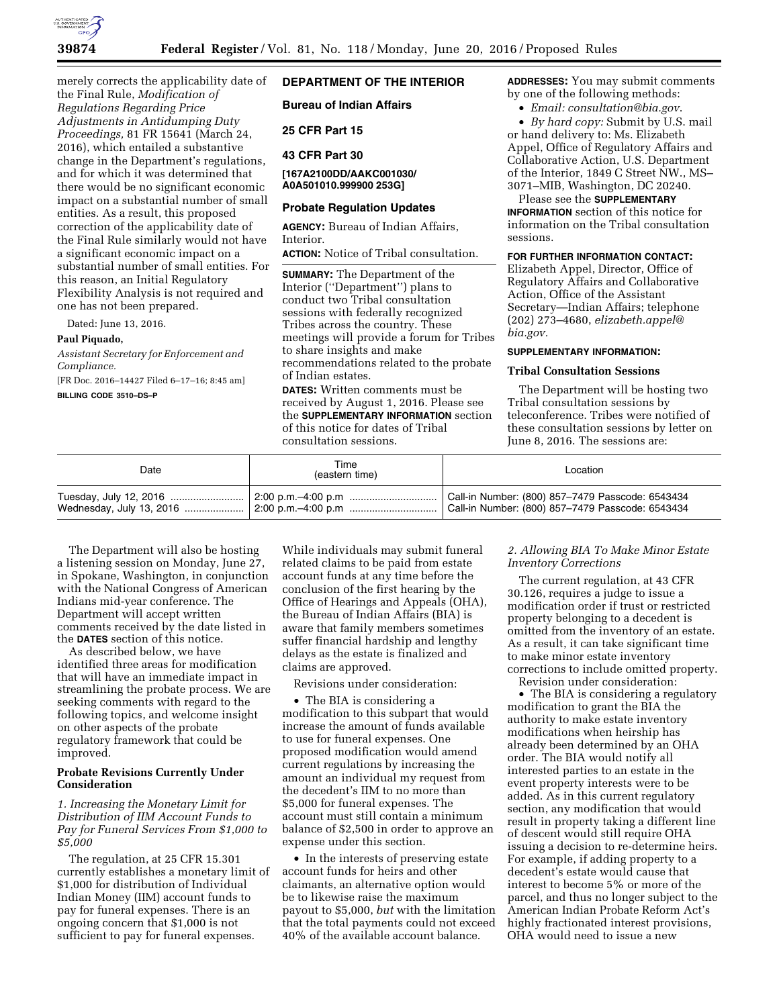

# merely corrects the applicability date of the Final Rule, *Modification of Regulations Regarding Price Adjustments in Antidumping Duty Proceedings,* 81 FR 15641 (March 24, 2016), which entailed a substantive change in the Department's regulations, and for which it was determined that there would be no significant economic impact on a substantial number of small entities. As a result, this proposed correction of the applicability date of the Final Rule similarly would not have a significant economic impact on a substantial number of small entities. For this reason, an Initial Regulatory Flexibility Analysis is not required and one has not been prepared.

Dated: June 13, 2016.

#### **Paul Piquado,**

*Assistant Secretary for Enforcement and Compliance.* 

[FR Doc. 2016–14427 Filed 6–17–16; 8:45 am]

**BILLING CODE 3510–DS–P** 

## **DEPARTMENT OF THE INTERIOR**

**Bureau of Indian Affairs** 

## **25 CFR Part 15**

## **43 CFR Part 30**

#### **[167A2100DD/AAKC001030/ A0A501010.999900 253G]**

## **Probate Regulation Updates**

**AGENCY:** Bureau of Indian Affairs, Interior.

**ACTION:** Notice of Tribal consultation.

**SUMMARY:** The Department of the Interior (''Department'') plans to conduct two Tribal consultation sessions with federally recognized Tribes across the country. These meetings will provide a forum for Tribes to share insights and make recommendations related to the probate of Indian estates.

**DATES:** Written comments must be received by August 1, 2016. Please see the **SUPPLEMENTARY INFORMATION** section of this notice for dates of Tribal consultation sessions.

**ADDRESSES:** You may submit comments by one of the following methods:

• *Email: [consultation@bia.gov](mailto:consultation@bia.gov)*.

• *By hard copy:* Submit by U.S. mail or hand delivery to: Ms. Elizabeth Appel, Office of Regulatory Affairs and Collaborative Action, U.S. Department of the Interior, 1849 C Street NW., MS– 3071–MIB, Washington, DC 20240.

Please see the **SUPPLEMENTARY INFORMATION** section of this notice for

information on the Tribal consultation sessions.

#### **FOR FURTHER INFORMATION CONTACT:**

Elizabeth Appel, Director, Office of Regulatory Affairs and Collaborative Action, Office of the Assistant Secretary—Indian Affairs; telephone (202) 273–4680, *[elizabeth.appel@](mailto:elizabeth.appel@bia.gov) [bia.gov.](mailto:elizabeth.appel@bia.gov)* 

# **SUPPLEMENTARY INFORMATION:**

### **Tribal Consultation Sessions**

The Department will be hosting two Tribal consultation sessions by teleconference. Tribes were notified of these consultation sessions by letter on June 8, 2016. The sessions are:

| Date | Time<br>(eastern time) | Location                                         |
|------|------------------------|--------------------------------------------------|
|      |                        | Call-in Number: (800) 857-7479 Passcode: 6543434 |

The Department will also be hosting a listening session on Monday, June 27, in Spokane, Washington, in conjunction with the National Congress of American Indians mid-year conference. The Department will accept written comments received by the date listed in the **DATES** section of this notice.

As described below, we have identified three areas for modification that will have an immediate impact in streamlining the probate process. We are seeking comments with regard to the following topics, and welcome insight on other aspects of the probate regulatory framework that could be improved.

#### **Probate Revisions Currently Under Consideration**

*1. Increasing the Monetary Limit for Distribution of IIM Account Funds to Pay for Funeral Services From \$1,000 to \$5,000* 

The regulation, at 25 CFR 15.301 currently establishes a monetary limit of \$1,000 for distribution of Individual Indian Money (IIM) account funds to pay for funeral expenses. There is an ongoing concern that \$1,000 is not sufficient to pay for funeral expenses.

While individuals may submit funeral related claims to be paid from estate account funds at any time before the conclusion of the first hearing by the Office of Hearings and Appeals (OHA), the Bureau of Indian Affairs (BIA) is aware that family members sometimes suffer financial hardship and lengthy delays as the estate is finalized and claims are approved.

Revisions under consideration:

• The BIA is considering a modification to this subpart that would increase the amount of funds available to use for funeral expenses. One proposed modification would amend current regulations by increasing the amount an individual my request from the decedent's IIM to no more than \$5,000 for funeral expenses. The account must still contain a minimum balance of \$2,500 in order to approve an expense under this section.

• In the interests of preserving estate account funds for heirs and other claimants, an alternative option would be to likewise raise the maximum payout to \$5,000, *but* with the limitation that the total payments could not exceed 40% of the available account balance.

## *2. Allowing BIA To Make Minor Estate Inventory Corrections*

The current regulation, at 43 CFR 30.126, requires a judge to issue a modification order if trust or restricted property belonging to a decedent is omitted from the inventory of an estate. As a result, it can take significant time to make minor estate inventory corrections to include omitted property. Revision under consideration:

• The BIA is considering a regulatory modification to grant the BIA the authority to make estate inventory modifications when heirship has already been determined by an OHA order. The BIA would notify all interested parties to an estate in the event property interests were to be added. As in this current regulatory section, any modification that would result in property taking a different line of descent would still require OHA issuing a decision to re-determine heirs. For example, if adding property to a decedent's estate would cause that interest to become 5% or more of the parcel, and thus no longer subject to the American Indian Probate Reform Act's highly fractionated interest provisions, OHA would need to issue a new